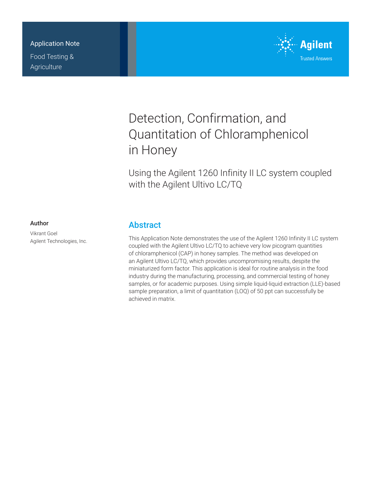# Application Note

Food Testing & **Agriculture** 



# Detection, Confirmation, and Quantitation of Chloramphenicol in Honey

Using the Agilent 1260 Infinity II LC system coupled with the Agilent Ultivo LC/TQ

## Author

Vikrant Goel Agilent Technologies, Inc.

# **Abstract**

This Application Note demonstrates the use of the Agilent 1260 Infinity II LC system coupled with the Agilent Ultivo LC/TQ to achieve very low picogram quantities of chloramphenicol (CAP) in honey samples. The method was developed on an Agilent Ultivo LC/TQ, which provides uncompromising results, despite the miniaturized form factor. This application is ideal for routine analysis in the food industry during the manufacturing, processing, and commercial testing of honey samples, or for academic purposes. Using simple liquid-liquid extraction (LLE)-based sample preparation, a limit of quantitation (LOQ) of 50 ppt can successfully be achieved in matrix.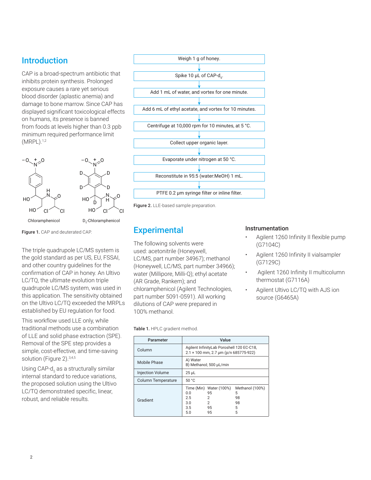# **Introduction**

CAP is a broad‑spectrum antibiotic that inhibits protein synthesis. Prolonged exposure causes a rare yet serious blood disorder (aplastic anemia) and damage to bone marrow. Since CAP has displayed significant toxicological effects on humans, its presence is banned from foods at levels higher than 0.3 ppb minimum required performance limit  $(MRPL).$ <sup>1,2</sup>



Figure 1. CAP and deuterated CAP.

The triple quadrupole LC/MS system is the gold standard as per US, EU, FSSAI, and other country guidelines for the confirmation of CAP in honey. An Ultivo LC/TQ, the ultimate evolution triple quadrupole LC/MS system, was used in this application. The sensitivity obtained on the Ultivo LC/TQ exceeded the MRPLs established by EU regulation for food.

This workflow used LLE only, while traditional methods use a combination of LLE and solid phase extraction (SPE). Removal of the SPE step provides a simple, cost-effective, and time-saving solution (Figure 2).<sup>3,4,5</sup>

Using CAP-d<sub>5</sub> as a structurally similar internal standard to reduce variations, the proposed solution using the Ultivo LC/TQ demonstrated specific, linear, robust, and reliable results.





# **Experimental**

The following solvents were used: acetonitrile (Honeywell, LC/MS, part number 34967); methanol (Honeywell, LC/MS, part number 34966); water (Millipore, Milli-Q); ethyl acetate (AR Grade, Rankem); and chloramphenicol (Agilent Technologies, part number 5091-0591). All working dilutions of CAP were prepared in 100% methanol.

Table 1. HPLC gradient method.

| Parameter               | Value                                                                                             |                                            |  |  |  |  |
|-------------------------|---------------------------------------------------------------------------------------------------|--------------------------------------------|--|--|--|--|
| Column                  | Agilent InfinityLab Poroshell 120 EC-C18,<br>$2.1 \times 100$ mm, 2.7 µm (p/n 685775-922)         |                                            |  |  |  |  |
| Mobile Phase            | A) Water<br>B) Methanol; 500 µL/min                                                               |                                            |  |  |  |  |
| <b>Injection Volume</b> | $25$ µL                                                                                           |                                            |  |  |  |  |
| Column Temperature      | 50 °C                                                                                             |                                            |  |  |  |  |
| Gradient                | Time (Min) Water (100%)<br>95<br>0.0<br>2.5<br>2<br>$\mathcal{P}$<br>30<br>3.5<br>95<br>5.0<br>95 | Methanol (100%)<br>5<br>98<br>98<br>5<br>5 |  |  |  |  |

### Instrumentation

- Agilent 1260 Infinity II flexible pump (G7104C)
- Agilent 1260 Infinity II vialsampler (G7129C)
- Agilent 1260 Infinity II multicolumn thermostat (G7116A)
- Agilent Ultivo LC/TQ with AJS ion source (G6465A)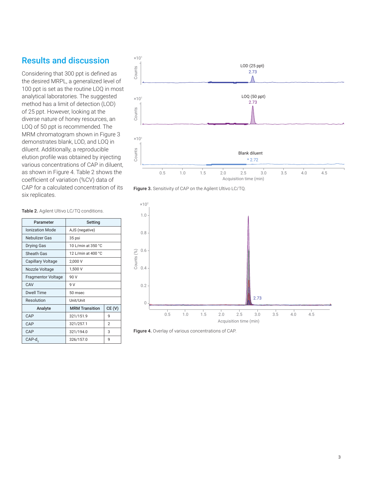# Results and discussion

Considering that 300 ppt is defined as the desired MRPL, a generalized level of 100 ppt is set as the routine LOQ in most analytical laboratories. The suggested method has a limit of detection (LOD) of 25 ppt. However, looking at the diverse nature of honey resources, an LOQ of 50 ppt is recommended. The MRM chromatogram shown in Figure 3 demonstrates blank, LOD, and LOQ in diluent. Additionally, a reproducible elution profile was obtained by injecting various concentrations of CAP in diluent, as shown in Figure 4. Table 2 shows the coefficient of variation (%CV) data of CAP for a calculated concentration of its six replicates.







Figure 4. Overlay of various concentrations of CAP.

#### Table 2. Agilent Ultivo LC/TQ conditions.

| Parameter                 | Setting                     |       |  |  |  |
|---------------------------|-----------------------------|-------|--|--|--|
| <b>Ionization Mode</b>    | AJS (negative)              |       |  |  |  |
| Nebulizer Gas             | 35 psi                      |       |  |  |  |
| <b>Drying Gas</b>         | 10 L/min at 350 °C          |       |  |  |  |
| Sheath Gas                | 12 L/min at 400 °C          |       |  |  |  |
| Capillary Voltage         | 2,000 V                     |       |  |  |  |
| Nozzle Voltage            | 1,500 V                     |       |  |  |  |
| <b>Fragmentor Voltage</b> | 90 V                        |       |  |  |  |
| CAV                       | 9 V                         |       |  |  |  |
| Dwell Time                | 50 msec                     |       |  |  |  |
| Resolution                | Unit/Unit                   |       |  |  |  |
| Analyte                   | <b>MRM Transition</b>       | CE(V) |  |  |  |
| CAP                       | 321/151.9                   | q     |  |  |  |
| CAP                       | $\mathfrak{p}$<br>321/257.1 |       |  |  |  |
| CAP                       | 3<br>321/194.0              |       |  |  |  |
| $CAP-ds$                  | 326/157.0<br>q              |       |  |  |  |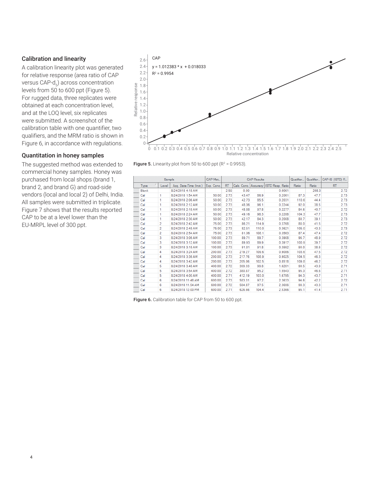## Calibration and linearity

A calibration linearity plot was generated for relative response (area ratio of CAP versus CAP-d<sub>5</sub>) across concentration levels from 50 to 600 ppt (Figure 5). For rugged data, three replicates were obtained at each concentration level, and at the LOQ level, six replicates were submitted. A screenshot of the calibration table with one quantifier, two qualifiers, and the MRM ratio is shown in Figure 6, in accordance with regulations.

### Quantitation in honey samples

The suggested method was extended to commercial honey samples. Honey was purchased from local shops (brand 1, brand 2, and brand G) and road-side vendors (local and local 2) of Delhi, India. All samples were submitted in triplicate. Figure 7 shows that the results reported CAP to be at a level lower than the EU‑MRPL level of 300 ppt.



**Figure 5.** Linearity plot from 50 to 600 ppt  $(R^2 = 0.9953)$ .

|              | Sample         |                        | CAP Met.   |           |        | <b>CAP Results</b> |                                       | Qualifier. | Qualifier. | CAP-IS (ISTD) R |
|--------------|----------------|------------------------|------------|-----------|--------|--------------------|---------------------------------------|------------|------------|-----------------|
| Type         | Level          | Acq. Date-Time (Inst.) | Exp. Conc. | <b>RT</b> |        |                    | Calc. Conc. Accuracy ISTD Resp. Ratio | Ratio      | Ratio      | <b>RT</b>       |
| <b>Blank</b> |                | 8/24/2018 4:18 AM      |            | 2.59      | 0.00   |                    | 0.0061                                |            | 208.3      | 2.72            |
| Cal          |                | 8/24/2018 1:54 AM      | 50.00      | 2.73      | 43.47  | 86.9               | 0.2061                                | 87.3       | 47.7       | 2.73            |
| Cal          |                | 8/24/2018 2:06 AM      | 50.00      | 2.73      | 42.73  | 85.5               | 0.2031                                | 110.6      | 44.4       | 2.73            |
| Cal          |                | 8/24/2018 2:12 AM      | 50.00      | 2.73      | 48.06  | 96.1               | 0.2244                                | 92.0       | 38.5       | 2.73            |
| Cal          |                | 8/24/2018 2:18 AM      | 50.00      | 2.73      | 48.88  | 97.8               | 0.2277                                | 84.6       | 40.7       | 2.72            |
| Cal          |                | 8/24/2018 2:24 AM      | 50.00      | 2.73      | 49.16  | 98.3               | 0.2288                                | 104.3      | 47.7       | 2.73            |
| Cal          |                | 8/24/2018 2:30 AM      | 50.00      | 2.73      | 42.17  | 84.3               | 0.2008                                | 80.7       | 39.1       | 2.73            |
| Cal          | $\overline{2}$ | 8/24/2018 2:42 AM      | 75.00      | 2.73      | 86.21  | 114.9              | 0.3768                                | 88.0       | 41.5       | 2.72            |
| Cal          | 2              | 8/24/2018 2:48 AM      | 75.00      | 2.73      | 82.51  | 110.0              | 0.3621                                | 105.0      | 43.3       | 2.73            |
| Cal          | 2              | 8/24/2018 2:54 AM      | 75.00      | 2.73      | 81.06  | 108.1              | 0.3563                                | 87.4       | 47.4       | 2.72            |
| Cal          | 3              | 8/24/2018 3:06 AM      | 100.00     | 2.73      | 89.71  | 89.7               | 0.3908                                | 96.7       | 48.9       | 2.72            |
| Cal          | 3              | 8/24/2018 3:12 AM      | 100.00     | 2.73      | 89.93  | 89.9               | 0.3917                                | 100.9      | 39.7       | 2.72            |
| Cal          | 3              | 8/24/2018 3:18 AM      | 100.00     | 2.73      | 91.81  | 91.8               | 0.3992                                | 90.0       | 38.6       | 2.72            |
| Cal          | 4              | 8/24/2018 3:24 AM      | 200.00     | 2.73      | 219.27 | 109.6              | 0.9086                                | 103.6      | 47.5       | 2.72            |
| Cal          | 4              | 8/24/2018 3:36 AM      | 200.00     | 2.73      | 217.76 | 108.9              | 0.9025                                | 104.5      | 46.3       | 2.72            |
| Cal          | 4              | 8/24/2018 3:42 AM      | 200.00     | 2.73      | 205.06 | 102.5              | 0.8518                                | 109.8      | 46.2       | 2.72            |
| Cal          | 5              | 8/24/2018 3:48 AM      | 400.00     | 2.72      | 399.33 | 99.8               | 1.6281                                | 90.5       | 43.9       | 2.71            |
| Cal          | 5              | 8/24/2018 3:54 AM      | 400.00     | 2.72      | 380.87 | 95.2               | 1.5543                                | 95.3       | 46.6       | 2.71            |
| Cal          | 5              | 8/24/2018 4:00 AM      | 400.00     | 2.71      | 412.19 | 103.0              | 1.6795                                | 94.3       | 43.7       | 2.71            |
| Cal          | 6              | 8/24/2018 11:48 AM     | 600.00     | 2.73      | 583.31 | 97.2               | 2.3633                                | 94.6       | 42.2       | 2.72            |
| Cal          | 6              | 8/24/2018 11:54 AM     | 600.00     | 2.72      | 584.87 | 97.5               | 2.3696                                | 98.3       | 43.3       | 2.71            |
| Cal          | 6              | 8/24/2018 12:00 PM     | 600.00     | 2.71      | 626.66 | 104.4              | 2.5366                                | 95.1       | 41.4       | 2.71            |

Figure 6. Calibration table for CAP from 50 to 600 ppt.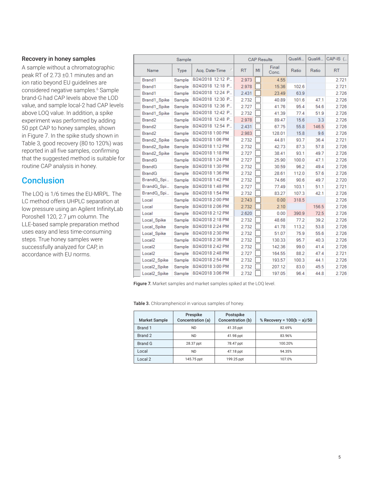### Recovery in honey samples

A sample without a chromatographic peak RT of 2.73 ±0.1 minutes and an ion ratio beyond EU guidelines are considered negative samples.<sup>6</sup> Sample brand-G had CAP levels above the LOD value, and sample local-2 had CAP levels above LOQ value. In addition, a spike experiment was performed by adding 50 ppt CAP to honey samples, shown in Figure 7. In the spike study shown in Table 3, good recovery (80 to 120%) was reported in all five samples, confirming that the suggested method is suitable for routine CAP analysis in honey.

# **Conclusion**

The LOQ is 1/6 times the EU-MRPL. The LC method offers UHPLC separation at low pressure using an Agilent InfinityLab Poroshell 120, 2.7 µm column. The LLE‑based sample preparation method uses easy and less time-consuming steps. True honey samples were successfully analyzed for CAP, in accordance with EU norms.

| Sample             |        | <b>CAP Results</b> |           |    | Qualifi        | Qualifi | CAP-IS ( |       |
|--------------------|--------|--------------------|-----------|----|----------------|---------|----------|-------|
| Name               | Type   | Acq. Date-Time     | <b>RT</b> | MI | Final<br>Conc. | Ratio   | Ratio    | RT    |
| Brand1             | Sample | 8/24/2018 12:12 P  | 2.973     |    | 4.55           |         |          | 2.721 |
| Brand1             | Sample | 8/24/2018 12:18 P  | 2.978     |    | 15.36          | 102.6   |          | 2.721 |
| Brand1             | Sample | 8/24/2018 12:24 P  | 2.431     |    | 23.49          | 63.9    |          | 2.726 |
| Brand1_Spike       | Sample | 8/24/2018 12:30 P  | 2.732     |    | 40.89          | 101.6   | 47.1     | 2.726 |
| Brand1_Spike       | Sample | 8/24/2018 12:36 P  | 2.727     |    | 41.76          | 95.4    | 54.6     | 2.726 |
| Brand1 Spike       | Sample | 8/24/2018 12:42 P  | 2.732     |    | 41.39          | 77.4    | 51.9     | 2.726 |
| Brand <sub>2</sub> | Sample | 8/24/2018 12:48 P  | 2.978     |    | 89.47          | 15.6    | 3.3      | 2.726 |
| Brand <sub>2</sub> | Sample | 8/24/2018 12:54 P  | 2.431     |    | 67.75          | 55.8    | 146.5    | 2.726 |
| Brand <sub>2</sub> | Sample | 8/24/2018 1:00 PM  | 2.983     |    | 128.01         | 15.8    | 9.6      | 2.726 |
| Brand2_Spike       | Sample | 8/24/2018 1:06 PM  | 2.732     |    | 44.81          | 93.7    | 36.4     | 2.721 |
| Brand2 Spike       | Sample | 8/24/2018 1:12 PM  | 2.732     |    | 42.73          | 87.3    | 57.8     | 2.726 |
| Brand2 Spike       | Sample | 8/24/2018 1:18 PM  | 2.727     |    | 38.41          | 93.1    | 49.7     | 2.726 |
| <b>BrandG</b>      | Sample | 8/24/2018 1:24 PM  | 2.727     |    | 25.90          | 100.0   | 47.1     | 2.726 |
| <b>BrandG</b>      | Sample | 8/24/2018 1:30 PM  | 2.732     |    | 30.59          | 96.2    | 49.4     | 2.726 |
| <b>BrandG</b>      | Sample | 8/24/2018 1:36 PM  | 2.732     |    | 28.61          | 112.0   | 57.6     | 2.726 |
| BrandG_Spi         | Sample | 8/24/2018 1:42 PM  | 2.732     |    | 74.66          | 90.6    | 49.7     | 2.720 |
| BrandG_Spi         | Sample | 8/24/2018 1:48 PM  | 2.727     |    | 77.49          | 103.1   | 51.1     | 2.721 |
| BrandG Spi         | Sample | 8/24/2018 1:54 PM  | 2.732     |    | 83.27          | 107.3   | 42.1     | 2.726 |
| Local              | Sample | 8/24/2018 2:00 PM  | 2.743     |    | 0.00           | 318.5   |          | 2.726 |
| Local              | Sample | 8/24/2018 2:06 PM  | 2.732     |    | 2.10           |         | 156.5    | 2.726 |
| Local              | Sample | 8/24/2018 2:12 PM  | 2.620     |    | 0.00           | 390.9   | 72.5     | 2.726 |
| Local_Spike        | Sample | 8/24/2018 2:18 PM  | 2.732     |    | 48.68          | 77.2    | 39.2     | 2.726 |
| Local Spike        | Sample | 8/24/2018 2:24 PM  | 2.732     |    | 41.78          | 113.2   | 53.8     | 2.726 |
| Local Spike        | Sample | 8/24/2018 2:30 PM  | 2.732     |    | 51.07          | 75.9    | 55.6     | 2.726 |
| Local <sub>2</sub> | Sample | 8/24/2018 2:36 PM  | 2.732     |    | 130.33         | 95.7    | 40.3     | 2.726 |
| Local <sub>2</sub> | Sample | 8/24/2018 2:42 PM  | 2.732     |    | 142.36         | 99.0    | 41.4     | 2.726 |
| Local <sub>2</sub> | Sample | 8/24/2018 2:48 PM  | 2.727     |    | 164.55         | 88.2    | 47.4     | 2.721 |
| Local2_Spike       | Sample | 8/24/2018 2:54 PM  | 2.732     |    | 193.57         | 100.3   | 44.1     | 2.726 |
| Local2 Spike       | Sample | 8/24/2018 3:00 PM  | 2.732     |    | 207.12         | 83.0    | 45.5     | 2.726 |
| Local2 Spike       | Sample | 8/24/2018 3:06 PM  | 2.732     |    | 197.05         | 96.4    | 44.8     | 2.726 |

Figure 7. Market samples and market samples spiked at the LOQ level.

Table 3. Chloramphenicol in various samples of honey.

| <b>Market Sample</b> | Prespike<br>Concentration (a) | Postspike<br>Concentration (b) | % Recovery = $100(b - a)/50$ |
|----------------------|-------------------------------|--------------------------------|------------------------------|
| Brand 1              | <b>ND</b>                     | 41.35 ppt                      | 82.69%                       |
| Brand 2              | <b>ND</b>                     | 41.98 ppt                      | 83.96%                       |
| <b>Brand G</b>       | 28.37 ppt                     | 78.47 ppt                      | 100.20%                      |
| Local                | <b>ND</b>                     | 47.18 ppt                      | 94.35%                       |
| Local 2              | 145.75 ppt                    | 199.25 ppt                     | 107.0%                       |